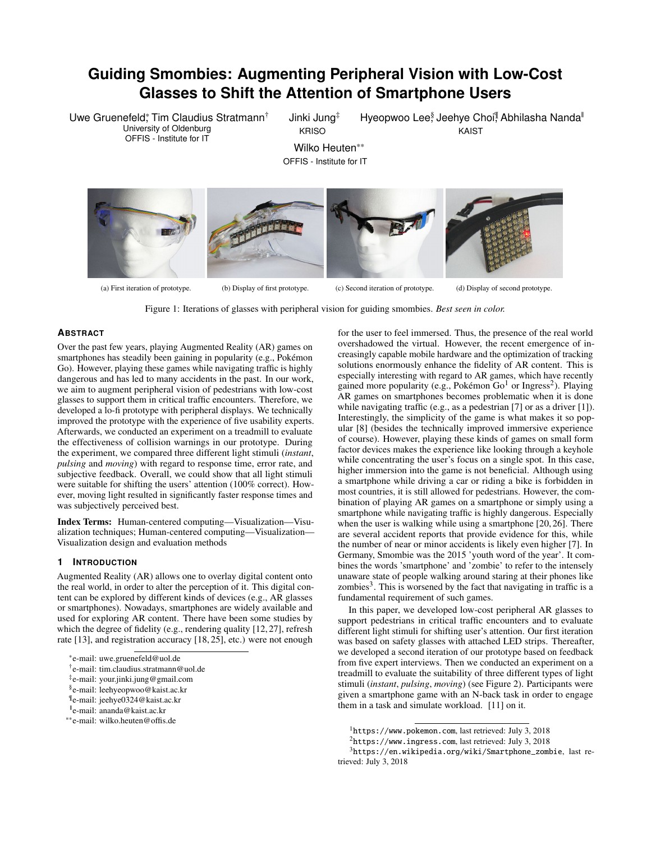# **Guiding Smombies: Augmenting Peripheral Vision with Low-Cost Glasses to Shift the Attention of Smartphone Users**

Uwe Gruenefeld\*, Tim Claudius Stratmann† University of Oldenburg OFFIS - Institute for IT

Jinki Jung‡ KRISO

Hyeopwoo Lee<sup>§</sup> Jeehye Choi<sup>¶</sup> Abhilasha Nanda<sup>∥</sup> KAIST

Wilko Heuten\*\* OFFIS - Institute for IT



Figure 1: Iterations of glasses with peripheral vision for guiding smombies. *Best seen in color.*

# <span id="page-0-3"></span>**ABSTRACT**

Over the past few years, playing Augmented Reality (AR) games on smartphones has steadily been gaining in popularity (e.g., Pokémon Go). However, playing these games while navigating traffic is highly dangerous and has led to many accidents in the past. In our work, we aim to augment peripheral vision of pedestrians with low-cost glasses to support them in critical traffic encounters. Therefore, we developed a lo-fi prototype with peripheral displays. We technically improved the prototype with the experience of five usability experts. Afterwards, we conducted an experiment on a treadmill to evaluate the effectiveness of collision warnings in our prototype. During the experiment, we compared three different light stimuli (*instant*, *pulsing* and *moving*) with regard to response time, error rate, and subjective feedback. Overall, we could show that all light stimuli were suitable for shifting the users' attention (100% correct). However, moving light resulted in significantly faster response times and was subjectively perceived best.

Index Terms: Human-centered computing—Visualization—Visualization techniques; Human-centered computing—Visualization— Visualization design and evaluation methods

## **1 INTRODUCTION**

Augmented Reality (AR) allows one to overlay digital content onto the real world, in order to alter the perception of it. This digital content can be explored by different kinds of devices (e.g., AR glasses or smartphones). Nowadays, smartphones are widely available and used for exploring AR content. There have been some studies by which the degree of fidelity (e.g., rendering quality [\[12,](#page-4-0) [27\]](#page-4-1), refresh rate [\[13\]](#page-4-2), and registration accuracy [\[18,](#page-4-3) [25\]](#page-4-4), etc.) were not enough

<span id="page-0-5"></span><span id="page-0-4"></span>for the user to feel immersed. Thus, the presence of the real world overshadowed the virtual. However, the recent emergence of increasingly capable mobile hardware and the optimization of tracking solutions enormously enhance the fidelity of AR content. This is especially interesting with regard to AR games, which have recently gained more popularity (e.g., Pokémon Go<sup>[1](#page-0-0)</sup> or Ingress<sup>[2](#page-0-1)</sup>). Playing AR games on smartphones becomes problematic when it is done while navigating traffic (e.g., as a pedestrian [\[7\]](#page-4-5) or as a driver [\[1\]](#page-4-6)). Interestingly, the simplicity of the game is what makes it so popular [\[8\]](#page-4-7) (besides the technically improved immersive experience of course). However, playing these kinds of games on small form factor devices makes the experience like looking through a keyhole while concentrating the user's focus on a single spot. In this case, higher immersion into the game is not beneficial. Although using a smartphone while driving a car or riding a bike is forbidden in most countries, it is still allowed for pedestrians. However, the combination of playing AR games on a smartphone or simply using a smartphone while navigating traffic is highly dangerous. Especially when the user is walking while using a smartphone [\[20,](#page-4-8) [26\]](#page-4-9). There are several accident reports that provide evidence for this, while the number of near or minor accidents is likely even higher [\[7\]](#page-4-5). In Germany, Smombie was the 2015 'youth word of the year'. It combines the words 'smartphone' and 'zombie' to refer to the intensely unaware state of people walking around staring at their phones like zombies<sup>[3](#page-0-2)</sup>. This is worsened by the fact that navigating in traffic is a fundamental requirement of such games.

In this paper, we developed low-cost peripheral AR glasses to support pedestrians in critical traffic encounters and to evaluate different light stimuli for shifting user's attention. Our first iteration was based on safety glasses with attached LED strips. Thereafter, we developed a second iteration of our prototype based on feedback from five expert interviews. Then we conducted an experiment on a treadmill to evaluate the suitability of three different types of light stimuli (*instant*, *pulsing*, *moving*) (see Figure [2\)](#page-2-0). Participants were given a smartphone game with an N-back task in order to engage them in a task and simulate workload. [\[11\]](#page-4-10) on it.

<sup>\*</sup>e-mail: uwe.gruenefeld@uol.de

<sup>†</sup> e-mail: tim.claudius.stratmann@uol.de

<sup>‡</sup> e-mail: your.jinki.jung@gmail.com

<sup>§</sup> e-mail: leehyeopwoo@kaist.ac.kr

<sup>¶</sup> e-mail: jeehye0324@kaist.ac.kr

<sup>||</sup>e-mail: ananda@kaist.ac.kr

<sup>\*\*</sup>e-mail: wilko.heuten@offis.de

<sup>1</sup><https://www.pokemon.com>, last retrieved: July 3, 2018

<span id="page-0-1"></span><span id="page-0-0"></span> $^{2}$ <https://www.ingress.com>, last retrieved: July 3, 2018

<span id="page-0-2"></span> $3$ [https://en.wikipedia.org/wiki/Smartphone\\_zombie](https://en.wikipedia.org/wiki/Smartphone_zombie), last retrieved: July 3, 2018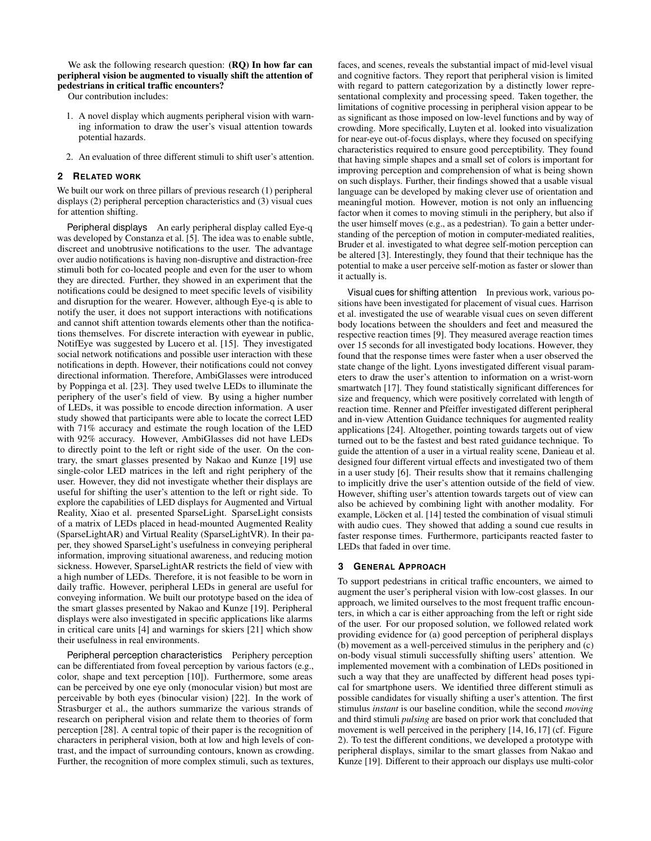We ask the following research question: (**RO**) In how far can peripheral vision be augmented to visually shift the attention of pedestrians in critical traffic encounters?

Our contribution includes:

- 1. A novel display which augments peripheral vision with warning information to draw the user's visual attention towards potential hazards.
- 2. An evaluation of three different stimuli to shift user's attention.

#### **2 RELATED WORK**

We built our work on three pillars of previous research  $(1)$  peripheral displays (2) peripheral perception characteristics and (3) visual cues for attention shifting.

Peripheral displays An early peripheral display called Eye-q was developed by Constanza et al. [\[5\]](#page-4-11). The idea was to enable subtle, discreet and unobtrusive notifications to the user. The advantage over audio notifications is having non-disruptive and distraction-free stimuli both for co-located people and even for the user to whom they are directed. Further, they showed in an experiment that the notifications could be designed to meet specific levels of visibility and disruption for the wearer. However, although Eye-q is able to notify the user, it does not support interactions with notifications and cannot shift attention towards elements other than the notifications themselves. For discrete interaction with eyewear in public, NotifEye was suggested by Lucero et al. [\[15\]](#page-4-12). They investigated social network notifications and possible user interaction with these notifications in depth. However, their notifications could not convey directional information. Therefore, AmbiGlasses were introduced by Poppinga et al. [\[23\]](#page-4-13). They used twelve LEDs to illuminate the periphery of the user's field of view. By using a higher number of LEDs, it was possible to encode direction information. A user study showed that participants were able to locate the correct LED with 71% accuracy and estimate the rough location of the LED with 92% accuracy. However, AmbiGlasses did not have LEDs to directly point to the left or right side of the user. On the contrary, the smart glasses presented by Nakao and Kunze [\[19\]](#page-4-14) use single-color LED matrices in the left and right periphery of the user. However, they did not investigate whether their displays are useful for shifting the user's attention to the left or right side. To explore the capabilities of LED displays for Augmented and Virtual Reality, Xiao et al. presented SparseLight. SparseLight consists of a matrix of LEDs placed in head-mounted Augmented Reality (SparseLightAR) and Virtual Reality (SparseLightVR). In their paper, they showed SparseLight's usefulness in conveying peripheral information, improving situational awareness, and reducing motion sickness. However, SparseLightAR restricts the field of view with a high number of LEDs. Therefore, it is not feasible to be worn in daily traffic. However, peripheral LEDs in general are useful for conveying information. We built our prototype based on the idea of the smart glasses presented by Nakao and Kunze [\[19\]](#page-4-14). Peripheral displays were also investigated in specific applications like alarms in critical care units [\[4\]](#page-4-15) and warnings for skiers [\[21\]](#page-4-16) which show their usefulness in real environments.

Peripheral perception characteristics Periphery perception can be differentiated from foveal perception by various factors (e.g., color, shape and text perception [\[10\]](#page-4-17)). Furthermore, some areas can be perceived by one eye only (monocular vision) but most are perceivable by both eyes (binocular vision) [\[22\]](#page-4-18). In the work of Strasburger et al., the authors summarize the various strands of research on peripheral vision and relate them to theories of form perception [\[28\]](#page-4-19). A central topic of their paper is the recognition of characters in peripheral vision, both at low and high levels of contrast, and the impact of surrounding contours, known as crowding. Further, the recognition of more complex stimuli, such as textures, faces, and scenes, reveals the substantial impact of mid-level visual and cognitive factors. They report that peripheral vision is limited with regard to pattern categorization by a distinctly lower representational complexity and processing speed. Taken together, the limitations of cognitive processing in peripheral vision appear to be as significant as those imposed on low-level functions and by way of crowding. More specifically, Luyten et al. looked into visualization for near-eye out-of-focus displays, where they focused on specifying characteristics required to ensure good perceptibility. They found that having simple shapes and a small set of colors is important for improving perception and comprehension of what is being shown on such displays. Further, their findings showed that a usable visual language can be developed by making clever use of orientation and meaningful motion. However, motion is not only an influencing factor when it comes to moving stimuli in the periphery, but also if the user himself moves (e.g., as a pedestrian). To gain a better understanding of the perception of motion in computer-mediated realities, Bruder et al. investigated to what degree self-motion perception can be altered [\[3\]](#page-4-20). Interestingly, they found that their technique has the potential to make a user perceive self-motion as faster or slower than it actually is.

Visual cues for shifting attention In previous work, various positions have been investigated for placement of visual cues. Harrison et al. investigated the use of wearable visual cues on seven different body locations between the shoulders and feet and measured the respective reaction times [\[9\]](#page-4-21). They measured average reaction times over 15 seconds for all investigated body locations. However, they found that the response times were faster when a user observed the state change of the light. Lyons investigated different visual parameters to draw the user's attention to information on a wrist-worn smartwatch [\[17\]](#page-4-22). They found statistically significant differences for size and frequency, which were positively correlated with length of reaction time. Renner and Pfeiffer investigated different peripheral and in-view Attention Guidance techniques for augmented reality applications [\[24\]](#page-4-23). Altogether, pointing towards targets out of view turned out to be the fastest and best rated guidance technique. To guide the attention of a user in a virtual reality scene, Danieau et al. designed four different virtual effects and investigated two of them in a user study [\[6\]](#page-4-24). Their results show that it remains challenging to implicitly drive the user's attention outside of the field of view. However, shifting user's attention towards targets out of view can also be achieved by combining light with another modality. For example, Löcken et al. [\[14\]](#page-4-25) tested the combination of visual stimuli with audio cues. They showed that adding a sound cue results in faster response times. Furthermore, participants reacted faster to LEDs that faded in over time.

## **3 GENERAL APPROACH**

To support pedestrians in critical traffic encounters, we aimed to augment the user's peripheral vision with low-cost glasses. In our approach, we limited ourselves to the most frequent traffic encounters, in which a car is either approaching from the left or right side of the user. For our proposed solution, we followed related work providing evidence for (a) good perception of peripheral displays (b) movement as a well-perceived stimulus in the periphery and (c) on-body visual stimuli successfully shifting users' attention. We implemented movement with a combination of LEDs positioned in such a way that they are unaffected by different head poses typical for smartphone users. We identified three different stimuli as possible candidates for visually shifting a user's attention. The first stimulus *instant* is our baseline condition, while the second *moving* and third stimuli *pulsing* are based on prior work that concluded that movement is well perceived in the periphery [\[14,](#page-4-25) [16,](#page-4-26) [17\]](#page-4-22) (cf. Figure [2\)](#page-2-0). To test the different conditions, we developed a prototype with peripheral displays, similar to the smart glasses from Nakao and Kunze [\[19\]](#page-4-14). Different to their approach our displays use multi-color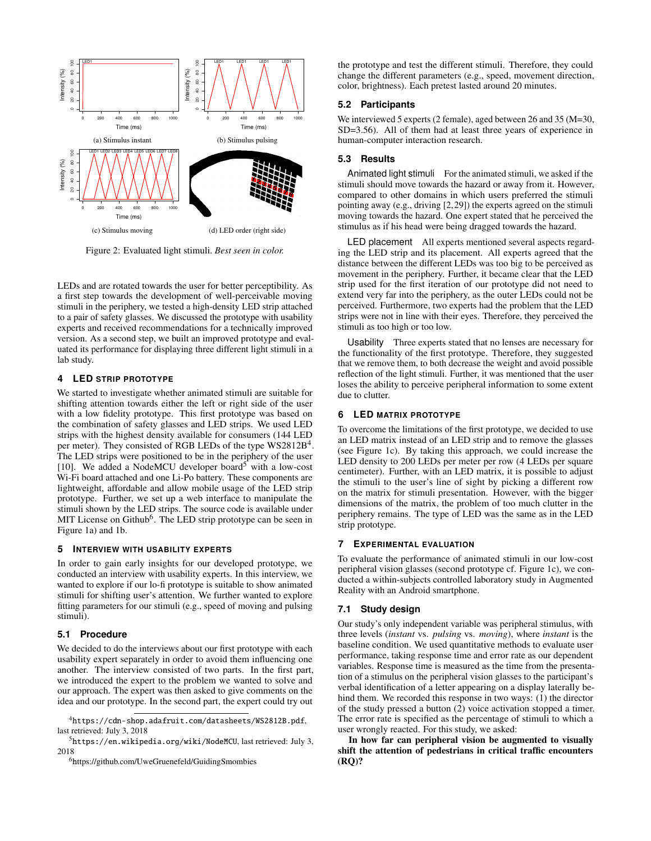<span id="page-2-0"></span>

Figure 2: Evaluated light stimuli. *Best seen in color.*

LEDs and are rotated towards the user for better perceptibility. As a first step towards the development of well-perceivable moving stimuli in the periphery, we tested a high-density LED strip attached to a pair of safety glasses. We discussed the prototype with usability experts and received recommendations for a technically improved version. As a second step, we built an improved prototype and evaluated its performance for displaying three different light stimuli in a lab study.

## **4 LED STRIP PROTOTYPE**

We started to investigate whether animated stimuli are suitable for shifting attention towards either the left or right side of the user with a low fidelity prototype. This first prototype was based on the combination of safety glasses and LED strips. We used LED strips with the highest density available for consumers (144 LED per meter). They consisted of RGB LEDs of the type WS2812B<sup>[4](#page-2-1)</sup>. The LED strips were positioned to be in the periphery of the user [\[10\]](#page-4-17). We added a NodeMCU developer board<sup>[5](#page-2-2)</sup> with a low-cost Wi-Fi board attached and one Li-Po battery. These components are lightweight, affordable and allow mobile usage of the LED strip prototype. Further, we set up a web interface to manipulate the stimuli shown by the LED strips. The source code is available under MIT License on Github<sup>[6](#page-2-3)</sup>. The LED strip prototype can be seen in Figure [1a\)](#page-0-3) and [1b.](#page-0-4)

## **5 INTERVIEW WITH USABILITY EXPERTS**

In order to gain early insights for our developed prototype, we conducted an interview with usability experts. In this interview, we wanted to explore if our lo-fi prototype is suitable to show animated stimuli for shifting user's attention. We further wanted to explore fitting parameters for our stimuli (e.g., speed of moving and pulsing stimuli).

## **5.1 Procedure**

We decided to do the interviews about our first prototype with each usability expert separately in order to avoid them influencing one another. The interview consisted of two parts. In the first part, we introduced the expert to the problem we wanted to solve and our approach. The expert was then asked to give comments on the idea and our prototype. In the second part, the expert could try out

<span id="page-2-3"></span><span id="page-2-2"></span><sup>6</sup><h>ttps://github.com/UweGruenefeld/GuidingSmombies

the prototype and test the different stimuli. Therefore, they could change the different parameters (e.g., speed, movement direction, color, brightness). Each pretest lasted around 20 minutes.

## **5.2 Participants**

We interviewed 5 experts (2 female), aged between 26 and 35 (M=30, SD=3.56). All of them had at least three years of experience in human-computer interaction research.

## **5.3 Results**

Animated light stimuli For the animated stimuli, we asked if the stimuli should move towards the hazard or away from it. However, compared to other domains in which users preferred the stimuli pointing away (e.g., driving [\[2,](#page-4-27) [29\]](#page-4-28)) the experts agreed on the stimuli moving towards the hazard. One expert stated that he perceived the stimulus as if his head were being dragged towards the hazard.

LED placement All experts mentioned several aspects regarding the LED strip and its placement. All experts agreed that the distance between the different LEDs was too big to be perceived as movement in the periphery. Further, it became clear that the LED strip used for the first iteration of our prototype did not need to extend very far into the periphery, as the outer LEDs could not be perceived. Furthermore, two experts had the problem that the LED strips were not in line with their eyes. Therefore, they perceived the stimuli as too high or too low.

Usability Three experts stated that no lenses are necessary for the functionality of the first prototype. Therefore, they suggested that we remove them, to both decrease the weight and avoid possible reflection of the light stimuli. Further, it was mentioned that the user loses the ability to perceive peripheral information to some extent due to clutter.

## **6 LED MATRIX PROTOTYPE**

To overcome the limitations of the first prototype, we decided to use an LED matrix instead of an LED strip and to remove the glasses (see Figure [1c\)](#page-0-5). By taking this approach, we could increase the LED density to 200 LEDs per meter per row (4 LEDs per square centimeter). Further, with an LED matrix, it is possible to adjust the stimuli to the user's line of sight by picking a different row on the matrix for stimuli presentation. However, with the bigger dimensions of the matrix, the problem of too much clutter in the periphery remains. The type of LED was the same as in the LED strip prototype.

#### **7 EXPERIMENTAL EVALUATION**

To evaluate the performance of animated stimuli in our low-cost peripheral vision glasses (second prototype cf. Figure [1c\)](#page-0-5), we conducted a within-subjects controlled laboratory study in Augmented Reality with an Android smartphone.

#### **7.1 Study design**

Our study's only independent variable was peripheral stimulus, with three levels (*instant* vs. *pulsing* vs. *moving*), where *instant* is the baseline condition. We used quantitative methods to evaluate user performance, taking response time and error rate as our dependent variables. Response time is measured as the time from the presentation of a stimulus on the peripheral vision glasses to the participant's verbal identification of a letter appearing on a display laterally behind them. We recorded this response in two ways: (1) the director of the study pressed a button (2) voice activation stopped a timer. The error rate is specified as the percentage of stimuli to which a user wrongly reacted. For this study, we asked:

In how far can peripheral vision be augmented to visually shift the attention of pedestrians in critical traffic encounters (RQ)?

<span id="page-2-1"></span><sup>4</sup><https://cdn-shop.adafruit.com/datasheets/WS2812B.pdf>, last retrieved: July 3, 2018

 $5$ <https://en.wikipedia.org/wiki/NodeMCU>, last retrieved: July 3, 2018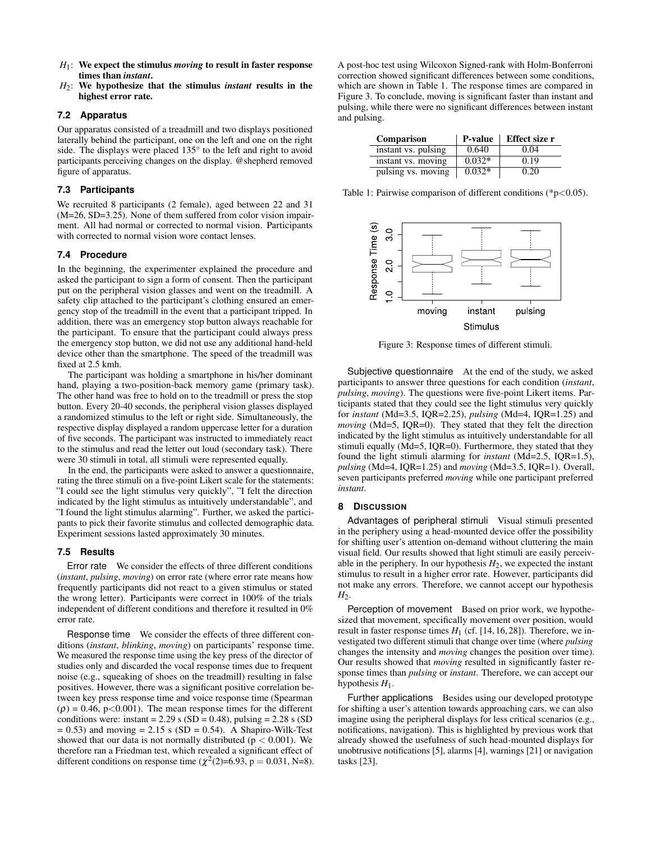- *H*1: We expect the stimulus *moving* to result in faster response times than *instant*.
- *H*2: We hypothesize that the stimulus *instant* results in the highest error rate.

## **7.2 Apparatus**

Our apparatus consisted of a treadmill and two displays positioned laterally behind the participant, one on the left and one on the right side. The displays were placed 135° to the left and right to avoid participants perceiving changes on the display. @shepherd removed figure of apparatus.

#### **7.3 Participants**

We recruited 8 participants (2 female), aged between 22 and 31 (M=26, SD=3.25). None of them suffered from color vision impairment. All had normal or corrected to normal vision. Participants with corrected to normal vision wore contact lenses.

#### **7.4 Procedure**

In the beginning, the experimenter explained the procedure and asked the participant to sign a form of consent. Then the participant put on the peripheral vision glasses and went on the treadmill. A safety clip attached to the participant's clothing ensured an emergency stop of the treadmill in the event that a participant tripped. In addition, there was an emergency stop button always reachable for the participant. To ensure that the participant could always press the emergency stop button, we did not use any additional hand-held device other than the smartphone. The speed of the treadmill was fixed at 2.5 kmh.

The participant was holding a smartphone in his/her dominant hand, playing a two-position-back memory game (primary task). The other hand was free to hold on to the treadmill or press the stop button. Every 20-40 seconds, the peripheral vision glasses displayed a randomized stimulus to the left or right side. Simultaneously, the respective display displayed a random uppercase letter for a duration of five seconds. The participant was instructed to immediately react to the stimulus and read the letter out loud (secondary task). There were 30 stimuli in total, all stimuli were represented equally.

In the end, the participants were asked to answer a questionnaire, rating the three stimuli on a five-point Likert scale for the statements: "I could see the light stimulus very quickly", "I felt the direction indicated by the light stimulus as intuitively understandable", and "I found the light stimulus alarming". Further, we asked the participants to pick their favorite stimulus and collected demographic data. Experiment sessions lasted approximately 30 minutes.

#### **7.5 Results**

Error rate We consider the effects of three different conditions (*instant*, *pulsing*, *moving*) on error rate (where error rate means how frequently participants did not react to a given stimulus or stated the wrong letter). Participants were correct in 100% of the trials independent of different conditions and therefore it resulted in 0% error rate.

Response time We consider the effects of three different conditions (*instant*, *blinking*, *moving*) on participants' response time. We measured the response time using the key press of the director of studies only and discarded the vocal response times due to frequent noise (e.g., squeaking of shoes on the treadmill) resulting in false positives. However, there was a significant positive correlation between key press response time and voice response time (Spearman  $(\rho) = 0.46$ , p<0.001). The mean response times for the different conditions were: instant =  $2.29$  s (SD = 0.48), pulsing =  $2.28$  s (SD  $= 0.53$ ) and moving  $= 2.15$  s (SD  $= 0.54$ ). A Shapiro-Wilk-Test showed that our data is not normally distributed ( $p < 0.001$ ). We therefore ran a Friedman test, which revealed a significant effect of different conditions on response time  $(\chi^2(2)=6.93, p = 0.031, N=8)$ .

A post-hoc test using Wilcoxon Signed-rank with Holm-Bonferroni correction showed significant differences between some conditions, which are shown in Table [1.](#page-3-0) The response times are compared in Figure [3.](#page-3-1) To conclude, moving is significant faster than instant and pulsing, while there were no significant differences between instant and pulsing.

<span id="page-3-0"></span>

| <b>Comparison</b>   | <b>P-value</b> | Effect size r |
|---------------------|----------------|---------------|
| instant vs. pulsing | 0.640          | 0.04          |
| instant vs. moving  | $0.032*$       | 0.19          |
| pulsing vs. moving  | $0.032*$       | 0.20          |

Table 1: Pairwise comparison of different conditions (\*p<0.05).

<span id="page-3-1"></span>

Figure 3: Response times of different stimuli.

Subjective questionnaire At the end of the study, we asked participants to answer three questions for each condition (*instant*, *pulsing*, *moving*). The questions were five-point Likert items. Participants stated that they could see the light stimulus very quickly for *instant* (Md=3.5, IQR=2.25), *pulsing* (Md=4, IQR=1.25) and *moving* (Md=5, IQR=0). They stated that they felt the direction indicated by the light stimulus as intuitively understandable for all stimuli equally (Md=5, IQR=0). Furthermore, they stated that they found the light stimuli alarming for *instant* (Md=2.5, IQR=1.5), *pulsing* (Md=4, IQR=1.25) and *moving* (Md=3.5, IQR=1). Overall, seven participants preferred *moving* while one participant preferred *instant*.

## **8 DISCUSSION**

Advantages of peripheral stimuli Visual stimuli presented in the periphery using a head-mounted device offer the possibility for shifting user's attention on-demand without cluttering the main visual field. Our results showed that light stimuli are easily perceivable in the periphery. In our hypothesis  $H_2$ , we expected the instant stimulus to result in a higher error rate. However, participants did not make any errors. Therefore, we cannot accept our hypothesis  $H<sub>2</sub>$ .

Perception of movement Based on prior work, we hypothesized that movement, specifically movement over position, would result in faster response times  $H_1$  (cf. [\[14,](#page-4-25) [16,](#page-4-26) [28\]](#page-4-19)). Therefore, we investigated two different stimuli that change over time (where *pulsing* changes the intensity and *moving* changes the position over time). Our results showed that *moving* resulted in significantly faster response times than *pulsing* or *instant*. Therefore, we can accept our hypothesis  $H_1$ .

Further applications Besides using our developed prototype for shifting a user's attention towards approaching cars, we can also imagine using the peripheral displays for less critical scenarios (e.g., notifications, navigation). This is highlighted by previous work that already showed the usefulness of such head-mounted displays for unobtrusive notifications [\[5\]](#page-4-11), alarms [\[4\]](#page-4-15), warnings [\[21\]](#page-4-16) or navigation tasks [\[23\]](#page-4-13).